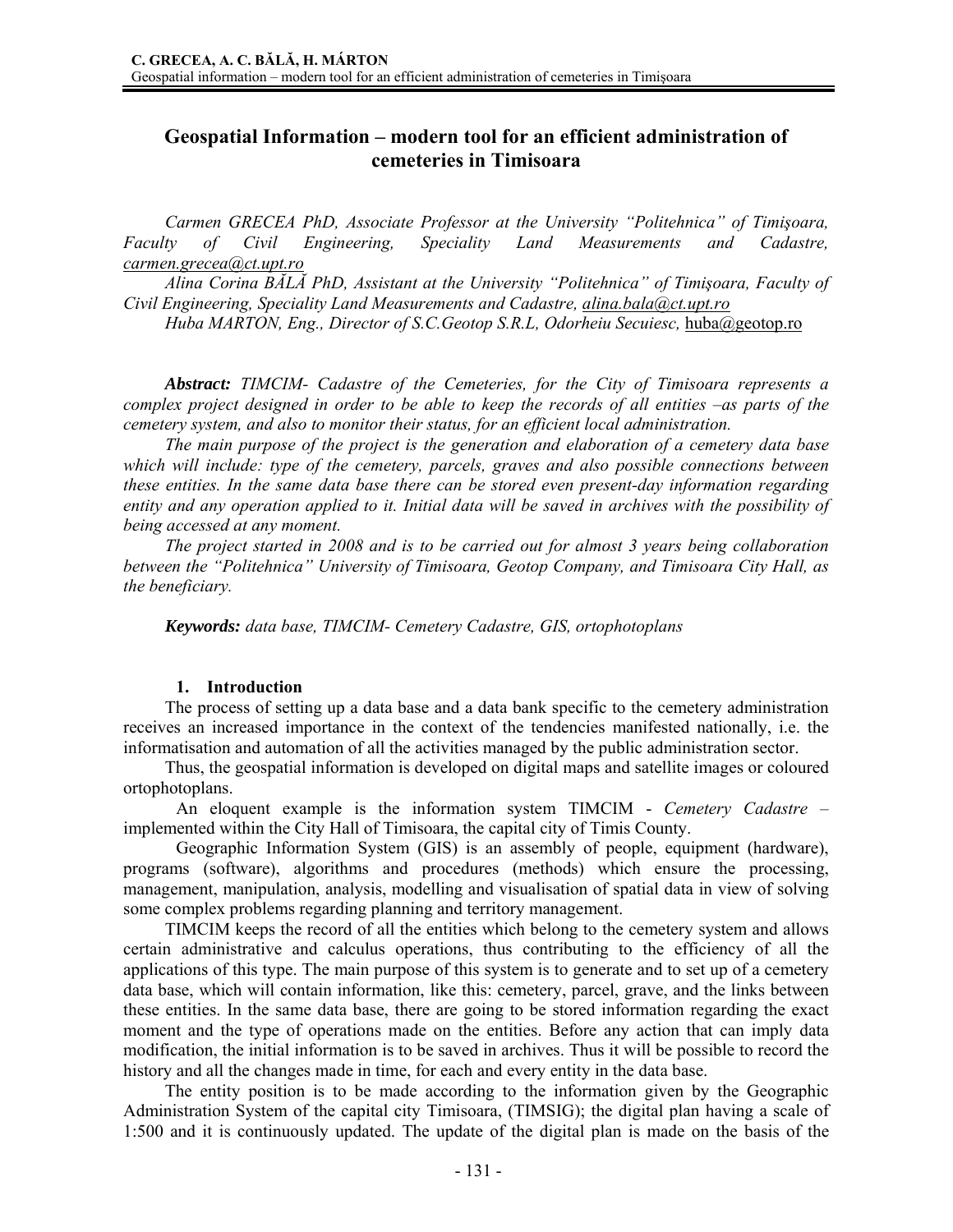# **Geospatial Information – modern tool for an efficient administration of cemeteries in Timisoara**

*Carmen GRECEA PhD, Associate Professor at the University "Politehnica" of Timişoara, Faculty of Civil Engineering, Speciality Land Measurements and Cadastre, carmen.grecea@ct.upt.ro*

*Alina Corina BĂLĂ PhD, Assistant at the University "Politehnica" of Timişoara, Faculty of Civil Engineering, Speciality Land Measurements and Cadastre, alina.bala@ct.upt.ro*

*Huba MARTON, Eng., Director of S.C.Geotop S.R.L, Odorheiu Secuiesc,* huba@geotop.ro

*Abstract: TIMCIM- Cadastre of the Cemeteries, for the City of Timisoara represents a complex project designed in order to be able to keep the records of all entities –as parts of the cemetery system, and also to monitor their status, for an efficient local administration.* 

*The main purpose of the project is the generation and elaboration of a cemetery data base which will include: type of the cemetery, parcels, graves and also possible connections between these entities. In the same data base there can be stored even present-day information regarding entity and any operation applied to it. Initial data will be saved in archives with the possibility of being accessed at any moment.* 

*The project started in 2008 and is to be carried out for almost 3 years being collaboration between the "Politehnica" University of Timisoara, Geotop Company, and Timisoara City Hall, as the beneficiary.* 

*Keywords: data base, TIMCIM- Cemetery Cadastre, GIS, ortophotoplans* 

## **1. Introduction**

The process of setting up a data base and a data bank specific to the cemetery administration receives an increased importance in the context of the tendencies manifested nationally, i.e. the informatisation and automation of all the activities managed by the public administration sector.

Thus, the geospatial information is developed on digital maps and satellite images or coloured ortophotoplans.

 An eloquent example is the information system TIMCIM - *Cemetery Cadastre* – implemented within the City Hall of Timisoara, the capital city of Timis County.

 Geographic Information System (GIS) is an assembly of people, equipment (hardware), programs (software), algorithms and procedures (methods) which ensure the processing, management, manipulation, analysis, modelling and visualisation of spatial data in view of solving some complex problems regarding planning and territory management.

TIMCIM keeps the record of all the entities which belong to the cemetery system and allows certain administrative and calculus operations, thus contributing to the efficiency of all the applications of this type. The main purpose of this system is to generate and to set up of a cemetery data base, which will contain information, like this: cemetery, parcel, grave, and the links between these entities. In the same data base, there are going to be stored information regarding the exact moment and the type of operations made on the entities. Before any action that can imply data modification, the initial information is to be saved in archives. Thus it will be possible to record the history and all the changes made in time, for each and every entity in the data base.

The entity position is to be made according to the information given by the Geographic Administration System of the capital city Timisoara, (TIMSIG); the digital plan having a scale of 1:500 and it is continuously updated. The update of the digital plan is made on the basis of the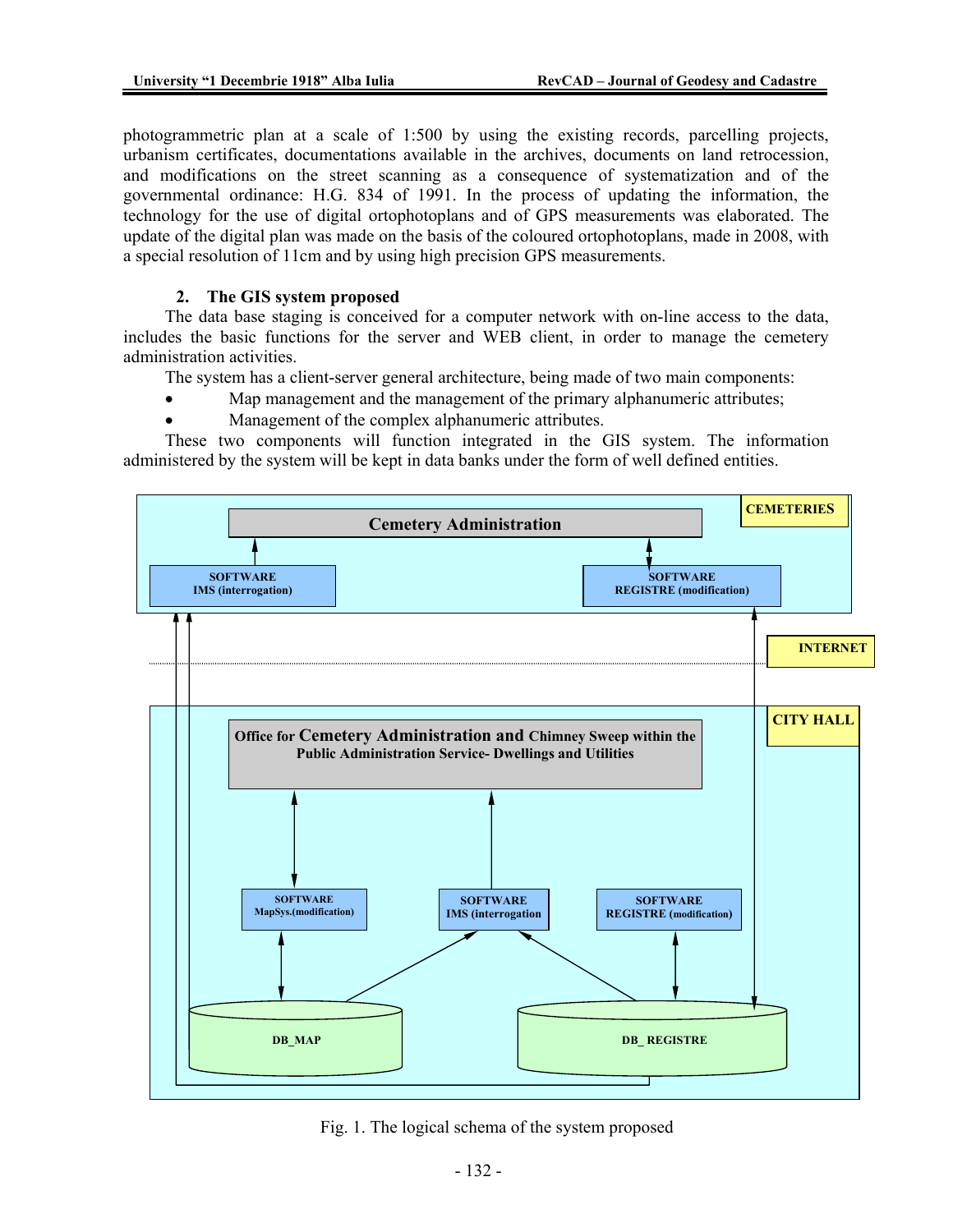photogrammetric plan at a scale of 1:500 by using the existing records, parcelling projects, urbanism certificates, documentations available in the archives, documents on land retrocession, and modifications on the street scanning as a consequence of systematization and of the governmental ordinance: H.G. 834 of 1991. In the process of updating the information, the technology for the use of digital ortophotoplans and of GPS measurements was elaborated. The update of the digital plan was made on the basis of the coloured ortophotoplans, made in 2008, with a special resolution of 11cm and by using high precision GPS measurements.

## **2. The GIS system proposed**

The data base staging is conceived for a computer network with on-line access to the data, includes the basic functions for the server and WEB client, in order to manage the cemetery administration activities.

The system has a client-server general architecture, being made of two main components:

- Map management and the management of the primary alphanumeric attributes;
- Management of the complex alphanumeric attributes.

These two components will function integrated in the GIS system. The information administered by the system will be kept in data banks under the form of well defined entities.



Fig. 1. The logical schema of the system proposed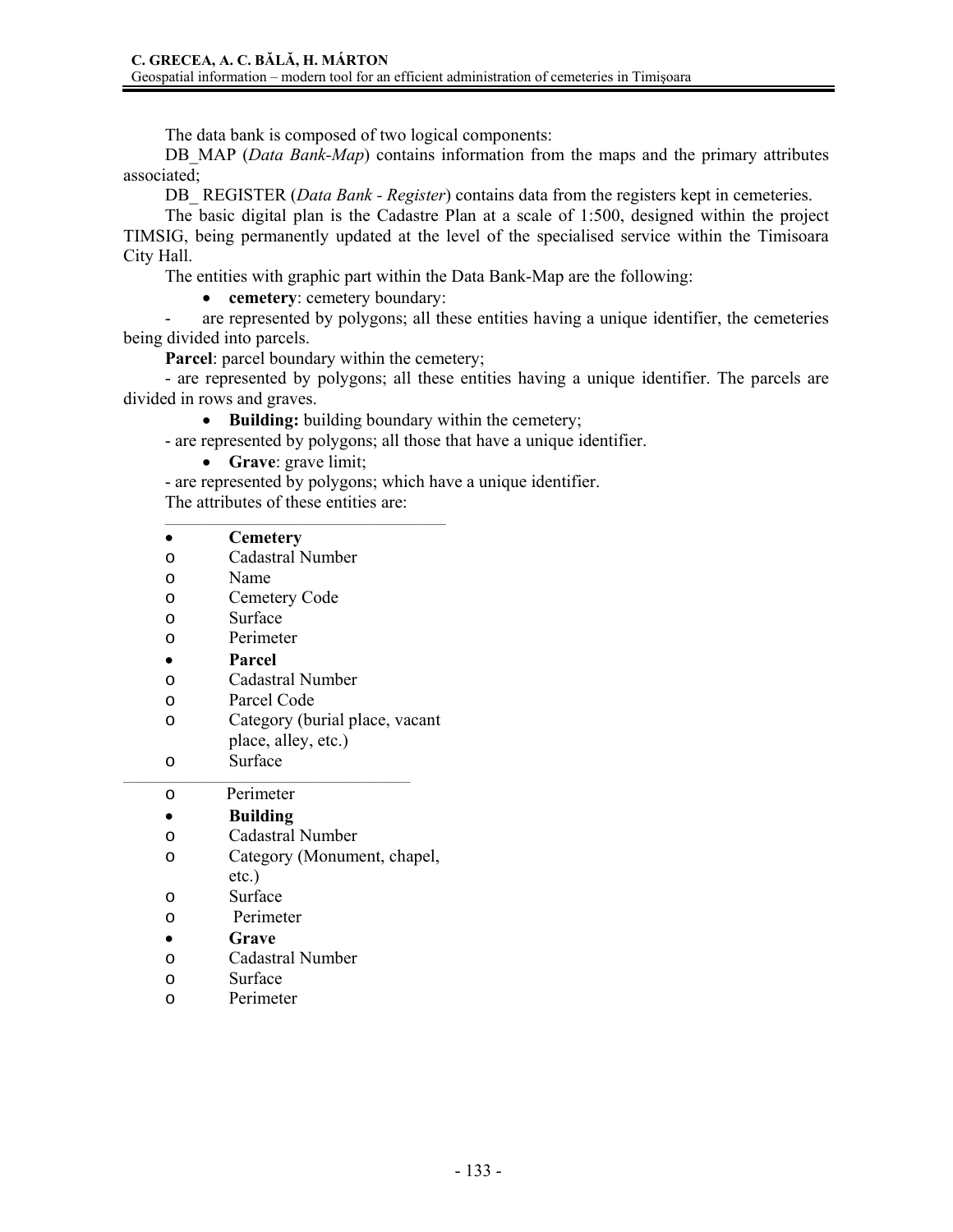The data bank is composed of two logical components:

DB MAP (*Data Bank-Map*) contains information from the maps and the primary attributes associated;

DB REGISTER (*Data Bank - Register*) contains data from the registers kept in cemeteries.

The basic digital plan is the Cadastre Plan at a scale of 1:500, designed within the project TIMSIG, being permanently updated at the level of the specialised service within the Timisoara City Hall.

The entities with graphic part within the Data Bank-Map are the following:

• **cemetery**: cemetery boundary:

are represented by polygons; all these entities having a unique identifier, the cemeteries being divided into parcels.

**Parcel**: parcel boundary within the cemetery;

- are represented by polygons; all these entities having a unique identifier. The parcels are divided in rows and graves.

• **Building:** building boundary within the cemetery;

- are represented by polygons; all those that have a unique identifier.

- **Grave**: grave limit;
- are represented by polygons; which have a unique identifier.

The attributes of these entities are:

 $\mathcal{L}_\text{max}$  and the contract of the contract of the contract of the contract of the contract of the contract of the contract of the contract of the contract of the contract of the contract of the contract of the contrac

|           | <b>Cemetery</b>                         |
|-----------|-----------------------------------------|
| O         | Cadastral Number                        |
| O         | Name                                    |
| O         | Cemetery Code                           |
| O         | Surface                                 |
| O         | Perimeter                               |
| $\bullet$ | Parcel                                  |
| O         | Cadastral Number                        |
| O         | Parcel Code                             |
| O         | Category (burial place, vacant          |
|           | place, alley, etc.)                     |
| O         | Surface                                 |
|           |                                         |
| O         | Perimeter                               |
|           | <b>Building</b>                         |
| O         | <b>Cadastral Number</b>                 |
| O         |                                         |
|           | Category (Monument, chapel,<br>$etc.$ ) |
| O         | Surface                                 |
| O         | Perimeter                               |
|           | Grave                                   |
| O         | Cadastral Number                        |
| O         | Surface                                 |
| O         | Perimeter                               |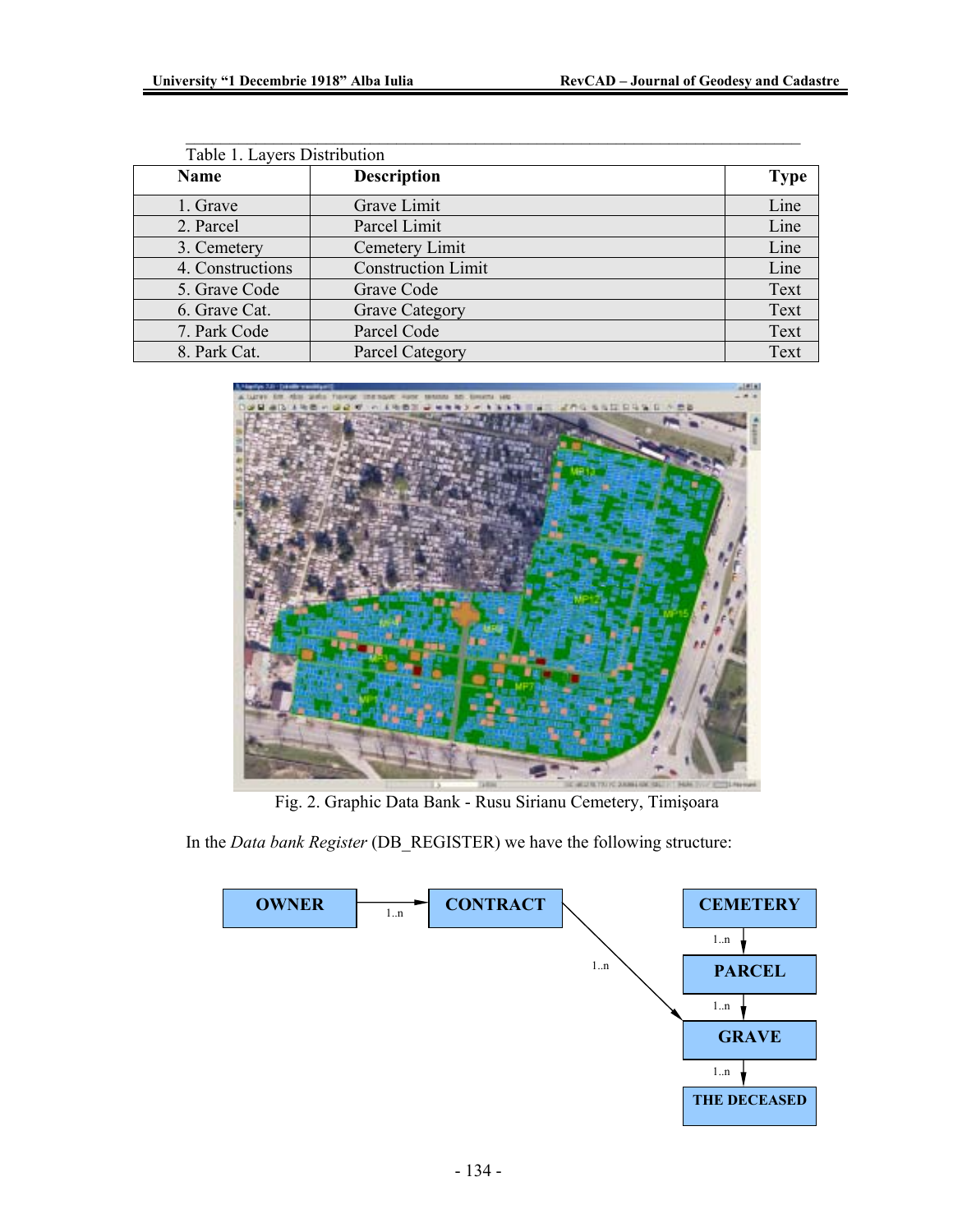| Table 1. Layers Distribution |                           |             |
|------------------------------|---------------------------|-------------|
| Name                         | <b>Description</b>        | <b>Type</b> |
| 1. Grave                     | Grave Limit               | Line        |
| 2. Parcel                    | Parcel Limit              | Line        |
| 3. Cemetery                  | Cemetery Limit            | Line        |
| 4. Constructions             | <b>Construction Limit</b> | Line        |
| 5. Grave Code                | Grave Code                | Text        |
| 6. Grave Cat.                | <b>Grave Category</b>     | Text        |
| 7. Park Code                 | Parcel Code               | Text        |
| 8. Park Cat.                 | <b>Parcel Category</b>    | Text        |

\_\_\_\_\_\_\_\_\_\_\_\_\_\_\_\_\_\_\_\_\_\_\_\_\_\_\_\_\_\_\_\_\_\_\_\_\_\_\_\_\_\_\_\_\_\_\_\_\_\_\_\_\_\_\_\_\_\_\_\_\_\_\_\_\_\_\_\_\_\_



Fig. 2. Graphic Data Bank - Rusu Sirianu Cemetery, Timişoara

In the *Data bank Register* (DB\_REGISTER) we have the following structure:

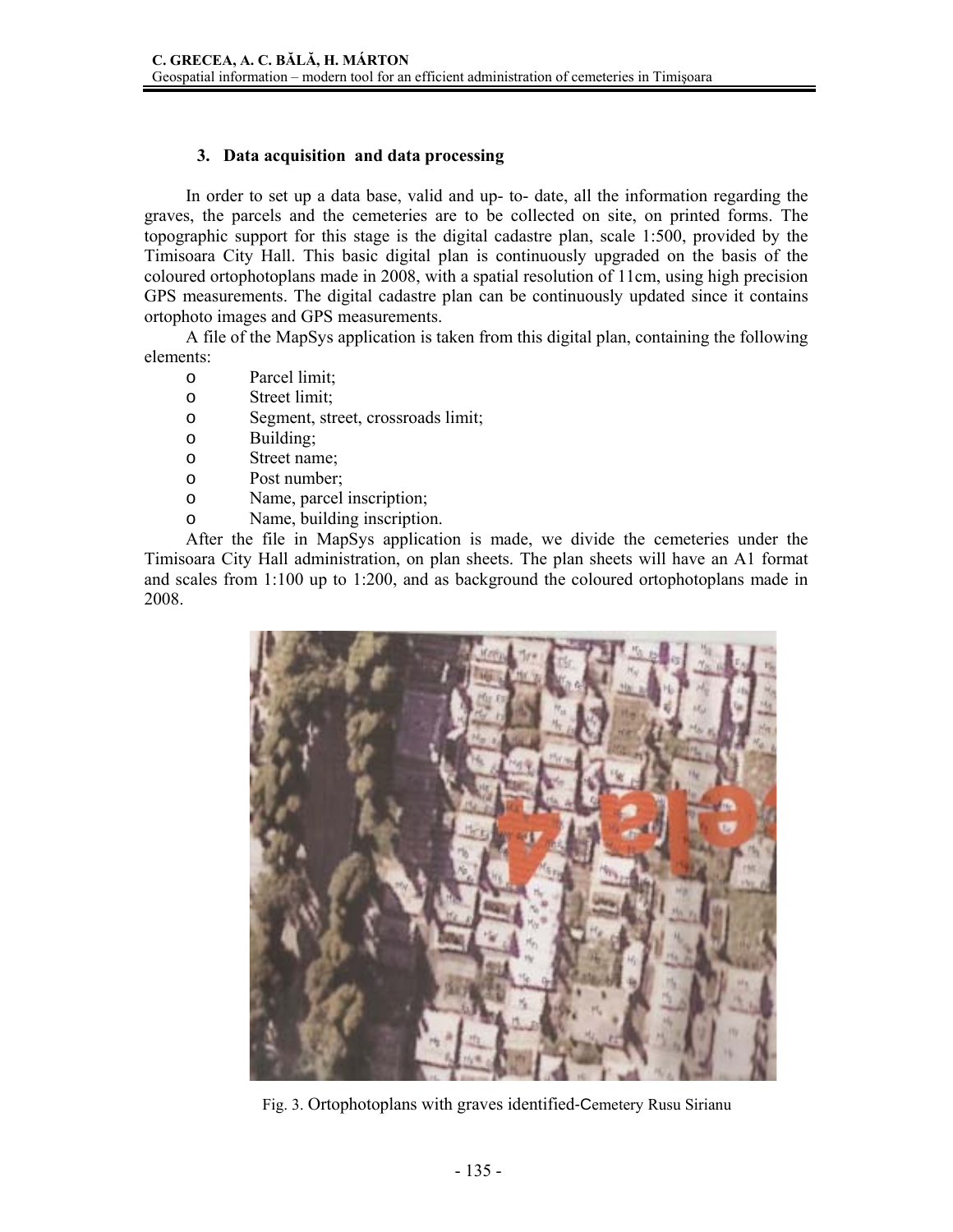## **3. Data acquisition and data processing**

In order to set up a data base, valid and up- to- date, all the information regarding the graves, the parcels and the cemeteries are to be collected on site, on printed forms. The topographic support for this stage is the digital cadastre plan, scale 1:500, provided by the Timisoara City Hall. This basic digital plan is continuously upgraded on the basis of the coloured ortophotoplans made in 2008, with a spatial resolution of 11cm, using high precision GPS measurements. The digital cadastre plan can be continuously updated since it contains ortophoto images and GPS measurements.

A file of the MapSys application is taken from this digital plan, containing the following elements:

- o Parcel limit;
- o Street limit;
- o Segment, street, crossroads limit;
- o Building;
- o Street name;
- o Post number;
- o Name, parcel inscription;
- o Name, building inscription.

After the file in MapSys application is made, we divide the cemeteries under the Timisoara City Hall administration, on plan sheets. The plan sheets will have an A1 format and scales from 1:100 up to 1:200, and as background the coloured ortophotoplans made in 2008.



Fig. 3. Ortophotoplans with graves identified-Cemetery Rusu Sirianu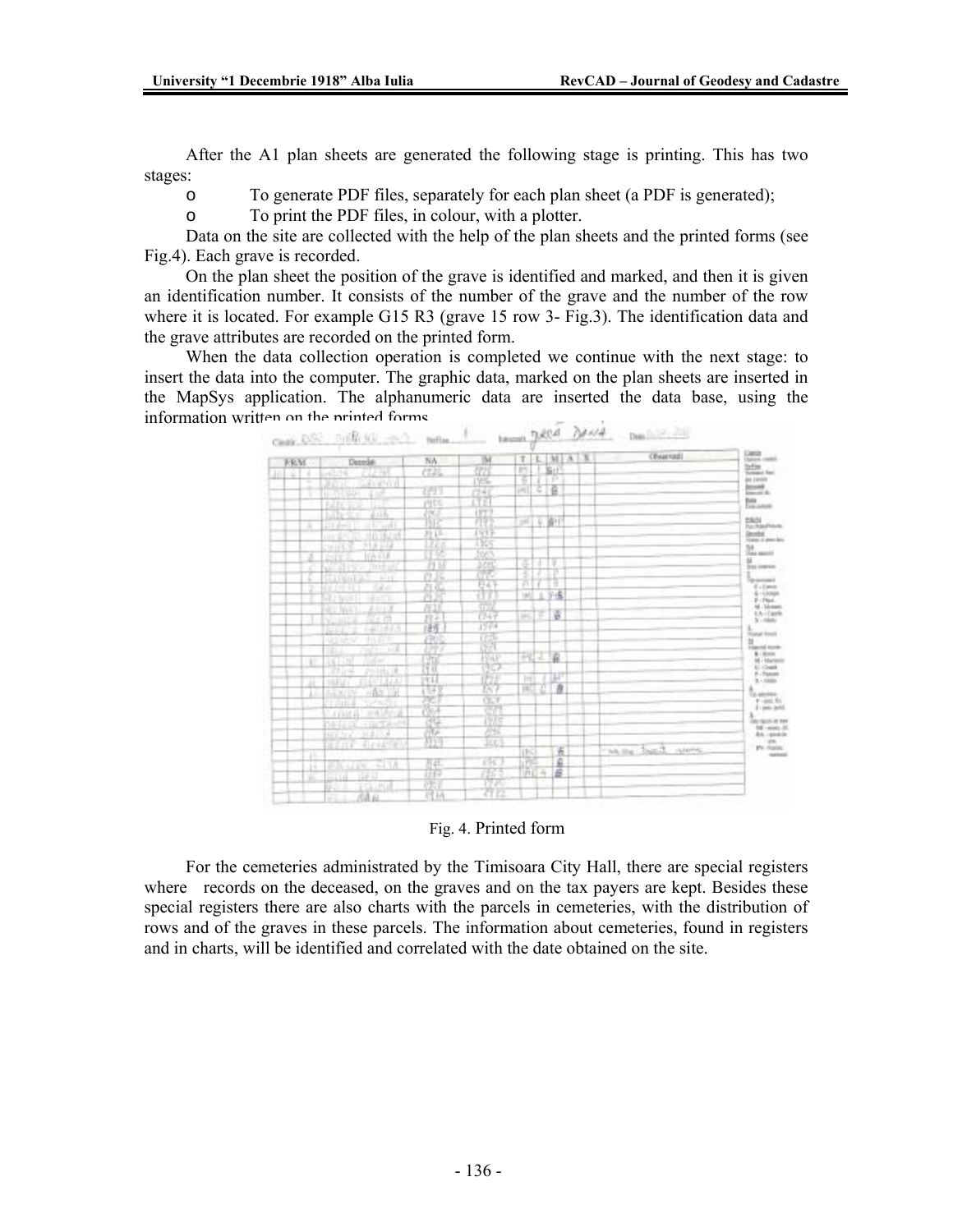After the A1 plan sheets are generated the following stage is printing. This has two stages:

o To generate PDF files, separately for each plan sheet (a PDF is generated);

o To print the PDF files, in colour, with a plotter.

Data on the site are collected with the help of the plan sheets and the printed forms (see Fig.4). Each grave is recorded.

On the plan sheet the position of the grave is identified and marked, and then it is given an identification number. It consists of the number of the grave and the number of the row where it is located. For example G15 R3 (grave 15 row 3- Fig.3). The identification data and the grave attributes are recorded on the printed form.

When the data collection operation is completed we continue with the next stage: to insert the data into the computer. The graphic data, marked on the plan sheets are inserted in the MapSys application. The alphanumeric data are inserted the data base, using the information written on the printed forms.



#### Fig. 4. Printed form

For the cemeteries administrated by the Timisoara City Hall, there are special registers where records on the deceased, on the graves and on the tax payers are kept. Besides these special registers there are also charts with the parcels in cemeteries, with the distribution of rows and of the graves in these parcels. The information about cemeteries, found in registers and in charts, will be identified and correlated with the date obtained on the site.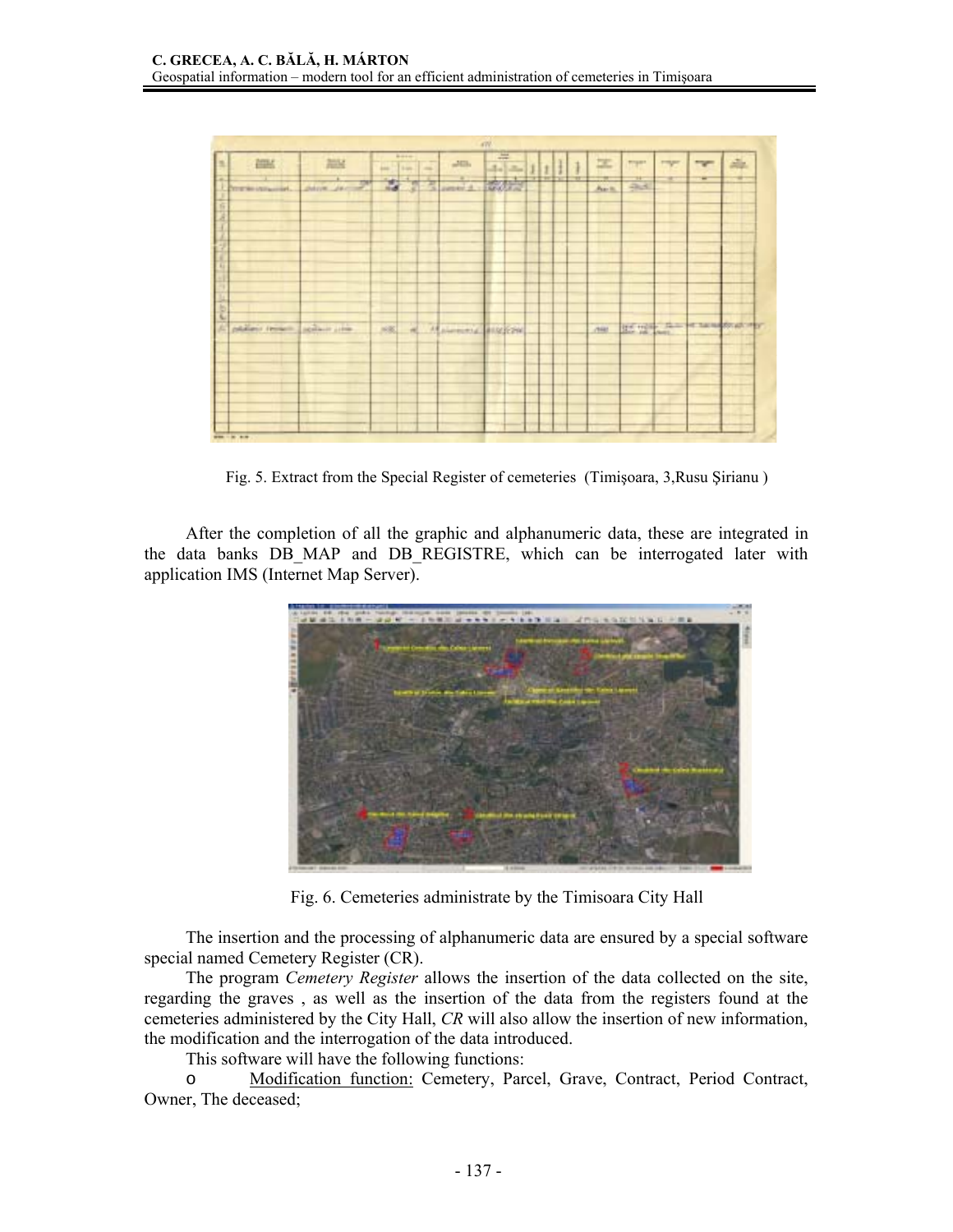|                     |                |                                |                  | 4W      |                |   |              |                       |                |            |                        |
|---------------------|----------------|--------------------------------|------------------|---------|----------------|---|--------------|-----------------------|----------------|------------|------------------------|
| 疆                   | 加好             | <b>Base</b><br>÷<br>m<br>tion. | $\Delta E/\hbar$ | 큭<br>志志 |                |   | 工            | <b>TOP</b>            | <b>Program</b> | <b>TWO</b> | 车                      |
| ricinairi           | deliver des    | Ξ<br>嵩<br>团                    | Ξ<br>insida -    |         | drop draw Braz | ÷ | m<br>$A = 1$ | $\frac{1}{2\sqrt{3}}$ |                | ÷          |                        |
|                     |                |                                |                  |         |                |   |              |                       |                |            |                        |
|                     |                |                                |                  |         |                |   |              |                       |                |            |                        |
|                     |                |                                |                  |         |                |   |              |                       |                |            |                        |
|                     |                |                                |                  |         |                |   |              |                       |                |            |                        |
|                     |                |                                |                  |         |                |   |              |                       |                |            |                        |
|                     |                |                                |                  |         |                |   |              |                       |                |            |                        |
|                     |                |                                |                  |         |                |   |              |                       |                |            |                        |
|                     |                |                                |                  |         |                |   |              |                       |                |            |                        |
|                     |                |                                |                  |         |                |   |              |                       |                |            |                        |
|                     |                |                                |                  |         |                |   |              |                       |                |            |                        |
|                     |                |                                |                  |         |                |   |              |                       |                |            |                        |
|                     |                |                                |                  |         |                |   |              |                       |                |            |                        |
| relations (mineric) | seilant sitte. | 881                            | Matematic BUREAU |         |                |   | chiar.       |                       |                |            | He will be a newspaper |
|                     |                |                                |                  |         |                |   |              |                       |                |            |                        |
|                     |                |                                |                  |         |                |   |              |                       |                |            |                        |
|                     |                |                                |                  |         |                |   |              |                       |                |            |                        |
|                     |                |                                |                  |         |                |   |              |                       |                |            |                        |
|                     |                |                                |                  |         |                |   |              |                       |                |            |                        |
|                     |                |                                |                  |         |                |   |              |                       |                |            |                        |
|                     |                |                                |                  |         |                |   |              |                       |                |            |                        |
|                     |                |                                |                  |         |                |   |              |                       |                |            |                        |
|                     |                |                                |                  |         |                |   |              |                       |                |            |                        |
| ----                |                |                                |                  |         |                |   |              |                       |                |            |                        |

Fig. 5. Extract from the Special Register of cemeteries (Timişoara, 3,Rusu Şirianu )

After the completion of all the graphic and alphanumeric data, these are integrated in the data banks DB\_MAP and DB\_REGISTRE, which can be interrogated later with application IMS (Internet Map Server).



Fig. 6. Cemeteries administrate by the Timisoara City Hall

The insertion and the processing of alphanumeric data are ensured by a special software special named Cemetery Register (CR).

The program *Cemetery Register* allows the insertion of the data collected on the site, regarding the graves , as well as the insertion of the data from the registers found at the cemeteries administered by the City Hall, *CR* will also allow the insertion of new information, the modification and the interrogation of the data introduced.

This software will have the following functions:

o Modification function: Cemetery, Parcel, Grave, Contract, Period Contract, Owner, The deceased;